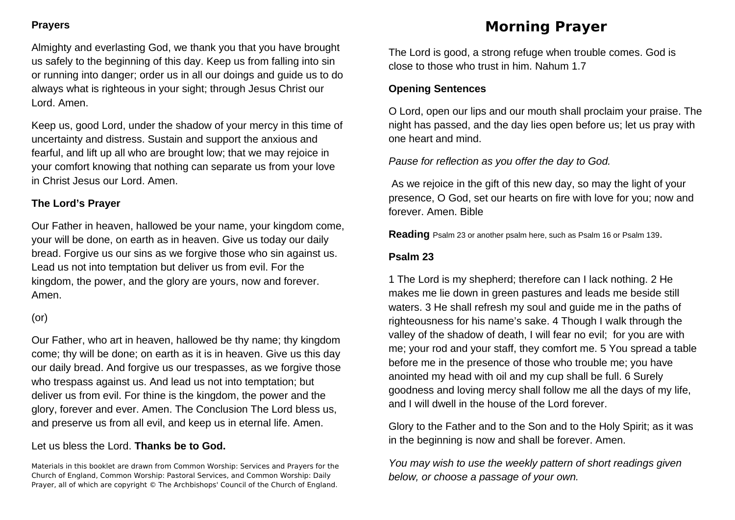## **Prayers**

Almighty and everlasting God, we thank you that you have brought us safely to the beginning of this day. Keep us from falling into sin or running into danger; order us in all our doings and guide us to do always what is righteous in your sight; through Jesus Christ our Lord. Amen.

Keep us, good Lord, under the shadow of your mercy in this time of uncertainty and distress. Sustain and support the anxious and fearful, and lift up all who are brought low; that we may rejoice in your comfort knowing that nothing can separate us from your love in Christ Jesus our Lord. Amen.

## **The Lord's Prayer**

Our Father in heaven, hallowed be your name, your kingdom come, your will be done, on earth as in heaven. Give us today our daily bread. Forgive us our sins as we forgive those who sin against us. Lead us not into temptation but deliver us from evil. For the kingdom, the power, and the glory are yours, now and forever. Amen.

## (or)

Our Father, who art in heaven, hallowed be thy name; thy kingdom come; thy will be done; on earth as it is in heaven. Give us this day our daily bread. And forgive us our trespasses, as we forgive those who trespass against us. And lead us not into temptation; but deliver us from evil. For thine is the kingdom, the power and the glory, forever and ever. Amen. The Conclusion The Lord bless us, and preserve us from all evil, and keep us in eternal life. Amen.

## Let us bless the Lord. **Thanks be to God.**

Materials in this booklet are drawn from Common Worship: Services and Prayers for the Church of England, Common Worship: Pastoral Services, and Common Worship: Daily Prayer, all of which are copyright © The Archbishops' Council of the Church of England.

# **Morning Prayer**

The Lord is good, a strong refuge when trouble comes. God is close to those who trust in him. Nahum 1.7

## **Opening Sentences**

O Lord, open our lips and our mouth shall proclaim your praise. The night has passed, and the day lies open before us; let us pray with one heart and mind.

*Pause for reflection as you offer the day to God.*

As we rejoice in the gift of this new day, so may the light of your presence, O God, set our hearts on fire with love for you; now and forever. Amen. Bible

**Reading** Psalm 23 or another psalm here, such as Psalm 16 or Psalm 139.

# **Psalm 23**

1 The Lord is my shepherd; therefore can I lack nothing. 2 He makes me lie down in green pastures and leads me beside still waters. 3 He shall refresh my soul and guide me in the paths of righteousness for his name's sake. 4 Though I walk through the valley of the shadow of death, I will fear no evil; for you are with me; your rod and your staff, they comfort me. 5 You spread a table before me in the presence of those who trouble me; you have anointed my head with oil and my cup shall be full. 6 Surely goodness and loving mercy shall follow me all the days of my life, and I will dwell in the house of the Lord forever.

Glory to the Father and to the Son and to the Holy Spirit; as it was in the beginning is now and shall be forever. Amen.

*You may wish to use the weekly pattern of short readings given below, or choose a passage of your own.*